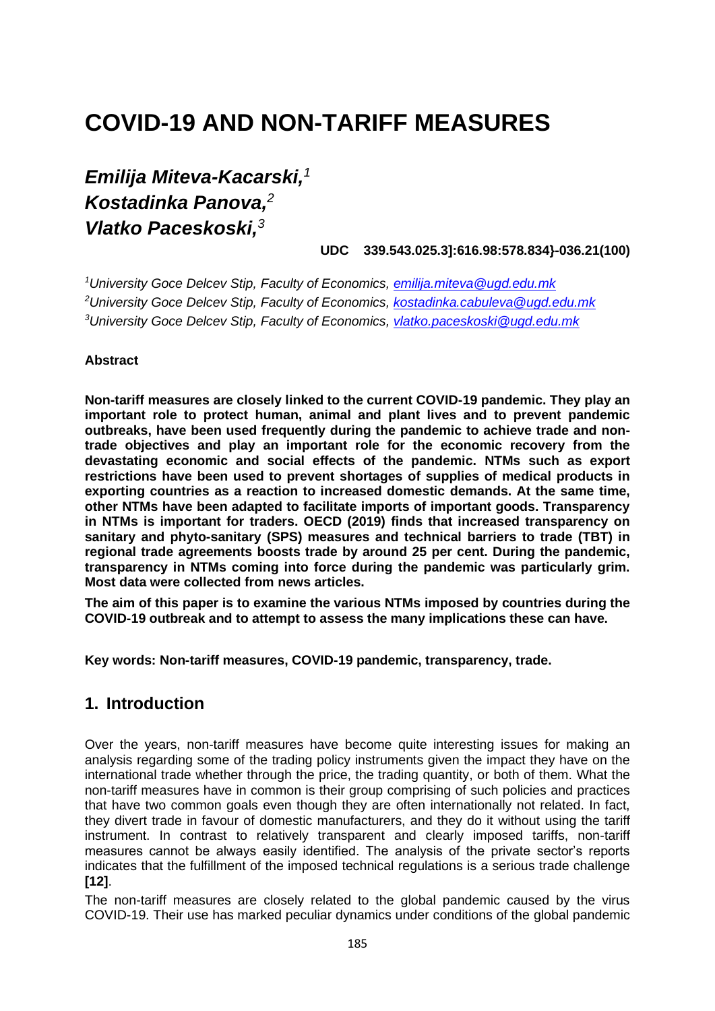# **COVID-19 AND NON-TARIFF MEASURES**

## *Emilija Miteva-Kacarski, 1 Kostadinka Panova, 2 Vlatko Paceskoski,<sup>3</sup>*

**UDC 339.543.025.3]:616.98:578.834}-036.21(100)**

*<sup>1</sup>University Goce Delcev Stip, Faculty of Economics, [emilija.miteva@ugd.edu.mk](mailto:emilija.miteva@ugd.edu.mk) <sup>2</sup>University Goce Delcev Stip, Faculty of Economics, [kostadinka.cabuleva@ugd.edu.mk](mailto:kostadinka.cabuleva@ugd.edu.mk) <sup>3</sup>University Goce Delcev Stip, Faculty of Economics, [vlatko.paceskoski@ugd.edu.mk](mailto:vlatko.paceskoski@ugd.edu.mk)*

#### **Abstract**

**Non-tariff measures are closely linked to the current COVID-19 pandemic. They play an important role to protect human, animal and plant lives and to prevent pandemic outbreaks, have been used frequently during the pandemic to achieve trade and nontrade objectives and play an important role for the economic recovery from the devastating economic and social effects of the pandemic. NTMs such as export restrictions have been used to prevent shortages of supplies of medical products in exporting countries as a reaction to increased domestic demands. At the same time, other NTMs have been adapted to facilitate imports of important goods. Transparency in NTMs is important for traders. OECD (2019) finds that increased transparency on sanitary and phyto-sanitary (SPS) measures and technical barriers to trade (TBT) in regional trade agreements boosts trade by around 25 per cent. During the pandemic, transparency in NTMs coming into force during the pandemic was particularly grim. Most data were collected from news articles.**

**The aim of this paper is to examine the various NTMs imposed by countries during the COVID-19 outbreak and to attempt to assess the many implications these can have.**

**Key words: Non-tariff measures, COVID-19 pandemic, transparency, trade.**

### **1. Introduction**

Over the years, non-tariff measures have become quite interesting issues for making an analysis regarding some of the trading policy instruments given the impact they have on the international trade whether through the price, the trading quantity, or both of them. What the non-tariff measures have in common is their group comprising of such policies and practices that have two common goals even though they are often internationally not related. In fact, they divert trade in favour of domestic manufacturers, and they do it without using the tariff instrument. In contrast to relatively transparent and clearly imposed tariffs, non-tariff measures cannot be always easily identified. The analysis of the private sector's reports indicates that the fulfillment of the imposed technical regulations is a serious trade challenge **[12]**.

The non-tariff measures are closely related to the global pandemic caused by the virus COVID-19. Their use has marked peculiar dynamics under conditions of the global pandemic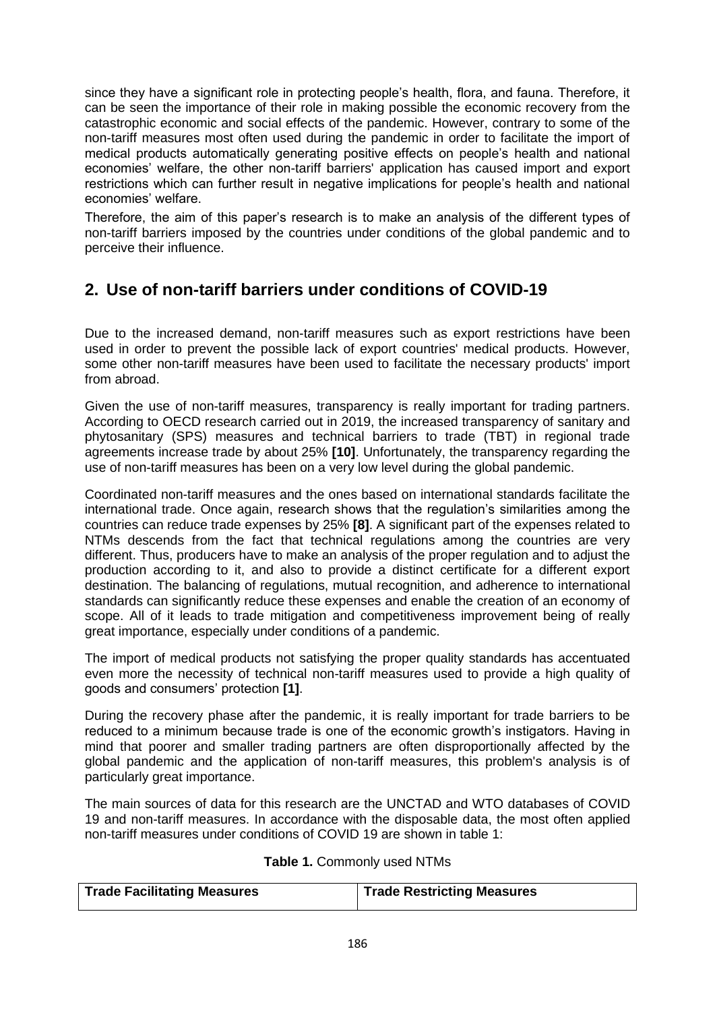since they have a significant role in protecting people's health, flora, and fauna. Therefore, it can be seen the importance of their role in making possible the economic recovery from the catastrophic economic and social effects of the pandemic. However, contrary to some of the non-tariff measures most often used during the pandemic in order to facilitate the import of medical products automatically generating positive effects on people's health and national economies' welfare, the other non-tariff barriers' application has caused import and export restrictions which can further result in negative implications for people's health and national economies' welfare.

Therefore, the aim of this paper's research is to make an analysis of the different types of non-tariff barriers imposed by the countries under conditions of the global pandemic and to perceive their influence.

## **2. Use of non-tariff barriers under conditions of COVID-19**

Due to the increased demand, non-tariff measures such as export restrictions have been used in order to prevent the possible lack of export countries' medical products. However, some other non-tariff measures have been used to facilitate the necessary products' import from abroad.

Given the use of non-tariff measures, transparency is really important for trading partners. According to OECD research carried out in 2019, the increased transparency of sanitary and phytosanitary (SPS) measures and technical barriers to trade (TBT) in regional trade agreements increase trade by about 25% **[10]**. Unfortunately, the transparency regarding the use of non-tariff measures has been on a very low level during the global pandemic.

Coordinated non-tariff measures and the ones based on international standards facilitate the international trade. Once again, research shows that the regulation's similarities among the countries can reduce trade expenses by 25% **[8]**. A significant part of the expenses related to NTMs descends from the fact that technical regulations among the countries are very different. Thus, producers have to make an analysis of the proper regulation and to adjust the production according to it, and also to provide a distinct certificate for a different export destination. The balancing of regulations, mutual recognition, and adherence to international standards can significantly reduce these expenses and enable the creation of an economy of scope. All of it leads to trade mitigation and competitiveness improvement being of really great importance, especially under conditions of a pandemic.

The import of medical products not satisfying the proper quality standards has accentuated even more the necessity of technical non-tariff measures used to provide a high quality of goods and consumers' protection **[1]**.

During the recovery phase after the pandemic, it is really important for trade barriers to be reduced to a minimum because trade is one of the economic growth's instigators. Having in mind that poorer and smaller trading partners are often disproportionally affected by the global pandemic and the application of non-tariff measures, this problem's analysis is of particularly great importance.

The main sources of data for this research are the UNCTAD and WTO databases of COVID 19 and non-tariff measures. In accordance with the disposable data, the most often applied non-tariff measures under conditions of COVID 19 are shown in table 1:

| Table 1. Commonly used NTMs |  |
|-----------------------------|--|
|-----------------------------|--|

| Trade Facilitating Measures | Trade Restricting Measures |
|-----------------------------|----------------------------|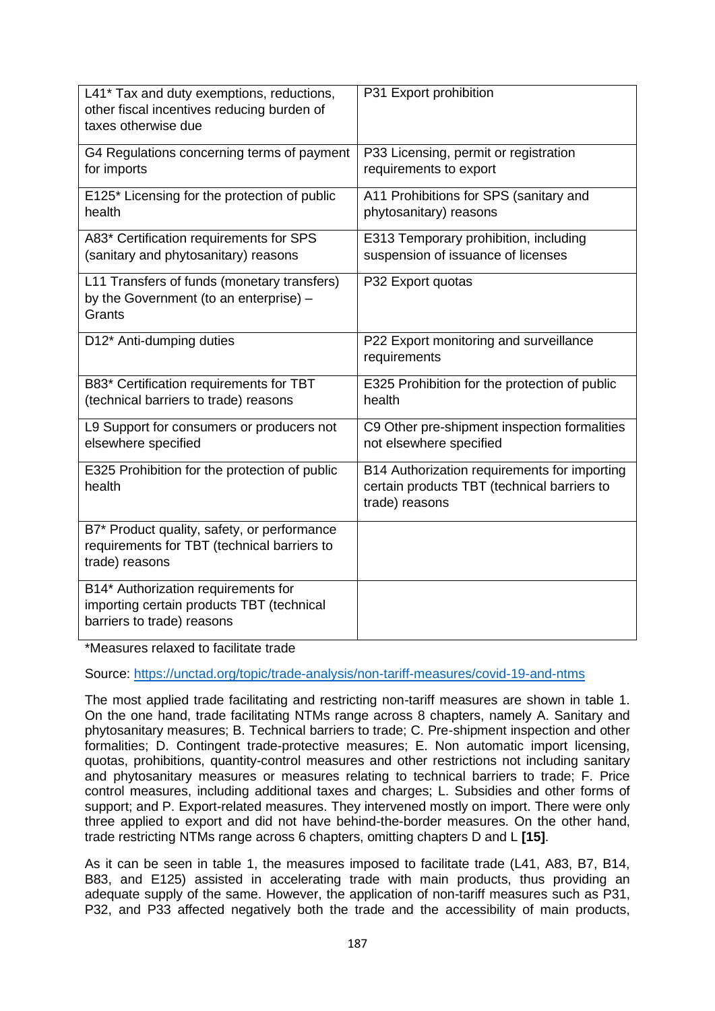| L41* Tax and duty exemptions, reductions,<br>other fiscal incentives reducing burden of<br>taxes otherwise due | P31 Export prohibition                                                                                        |
|----------------------------------------------------------------------------------------------------------------|---------------------------------------------------------------------------------------------------------------|
| G4 Regulations concerning terms of payment<br>for imports                                                      | P33 Licensing, permit or registration<br>requirements to export                                               |
| E125* Licensing for the protection of public<br>health                                                         | A11 Prohibitions for SPS (sanitary and<br>phytosanitary) reasons                                              |
| A83* Certification requirements for SPS<br>(sanitary and phytosanitary) reasons                                | E313 Temporary prohibition, including<br>suspension of issuance of licenses                                   |
| L11 Transfers of funds (monetary transfers)<br>by the Government (to an enterprise) -<br>Grants                | P32 Export quotas                                                                                             |
| D12* Anti-dumping duties                                                                                       | P22 Export monitoring and surveillance<br>requirements                                                        |
| B83* Certification requirements for TBT<br>(technical barriers to trade) reasons                               | E325 Prohibition for the protection of public<br>health                                                       |
| L9 Support for consumers or producers not<br>elsewhere specified                                               | C9 Other pre-shipment inspection formalities<br>not elsewhere specified                                       |
| E325 Prohibition for the protection of public<br>health                                                        | B14 Authorization requirements for importing<br>certain products TBT (technical barriers to<br>trade) reasons |
| B7* Product quality, safety, or performance<br>requirements for TBT (technical barriers to<br>trade) reasons   |                                                                                                               |
| B14* Authorization requirements for<br>importing certain products TBT (technical<br>barriers to trade) reasons |                                                                                                               |

\*Measures relaxed to facilitate trade

Source:<https://unctad.org/topic/trade-analysis/non-tariff-measures/covid-19-and-ntms>

The most applied trade facilitating and restricting non-tariff measures are shown in table 1. On the one hand, trade facilitating NTMs range across 8 chapters, namely A. Sanitary and phytosanitary measures; B. Technical barriers to trade; C. Pre-shipment inspection and other formalities; D. Contingent trade-protective measures; E. Non automatic import licensing, quotas, prohibitions, quantity-control measures and other restrictions not including sanitary and phytosanitary measures or measures relating to technical barriers to trade; F. Price control measures, including additional taxes and charges; L. Subsidies and other forms of support; and P. Export-related measures. They intervened mostly on import. There were only three applied to export and did not have behind-the-border measures. On the other hand, trade restricting NTMs range across 6 chapters, omitting chapters D and L **[15]**.

As it can be seen in table 1, the measures imposed to facilitate trade (L41, A83, B7, B14, B83, and E125) assisted in accelerating trade with main products, thus providing an adequate supply of the same. However, the application of non-tariff measures such as P31, P32, and P33 affected negatively both the trade and the accessibility of main products,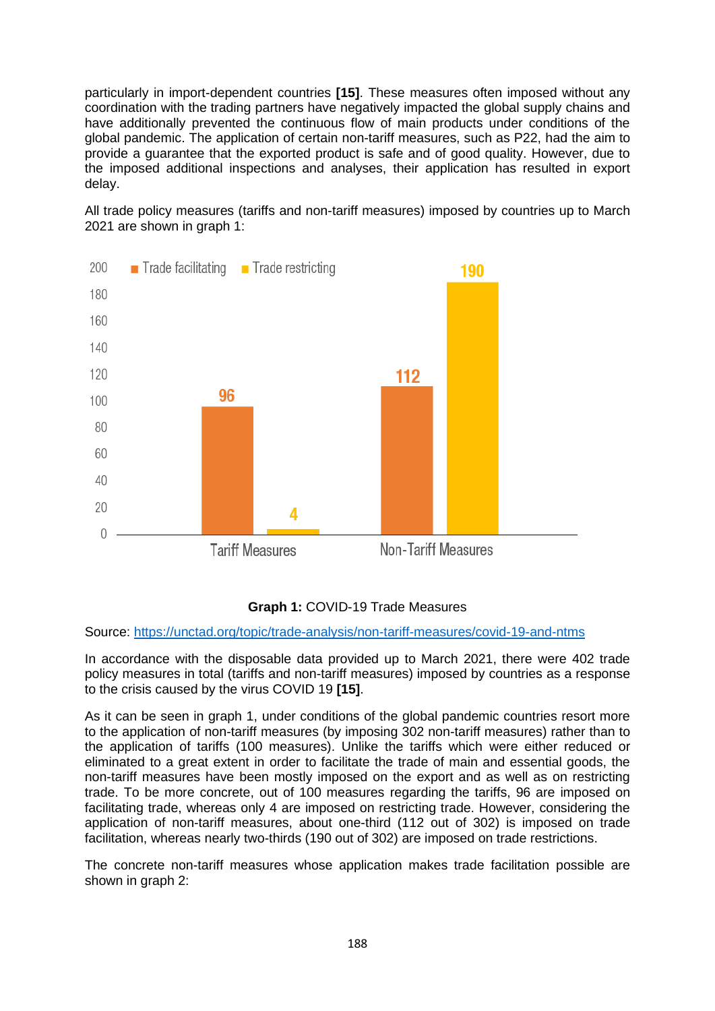particularly in import-dependent countries **[15]**. These measures often imposed without any coordination with the trading partners have negatively impacted the global supply chains and have additionally prevented the continuous flow of main products under conditions of the global pandemic. The application of certain non-tariff measures, such as P22, had the aim to provide a guarantee that the exported product is safe and of good quality. However, due to the imposed additional inspections and analyses, their application has resulted in export delay.

All trade policy measures (tariffs and non-tariff measures) imposed by countries up to March 2021 are shown in graph 1:



#### **Graph 1:** COVID-19 Trade Measures

Source:<https://unctad.org/topic/trade-analysis/non-tariff-measures/covid-19-and-ntms>

In accordance with the disposable data provided up to March 2021, there were 402 trade policy measures in total (tariffs and non-tariff measures) imposed by countries as a response to the crisis caused by the virus COVID 19 **[15]**.

As it can be seen in graph 1, under conditions of the global pandemic countries resort more to the application of non-tariff measures (by imposing 302 non-tariff measures) rather than to the application of tariffs (100 measures). Unlike the tariffs which were either reduced or eliminated to a great extent in order to facilitate the trade of main and essential goods, the non-tariff measures have been mostly imposed on the export and as well as on restricting trade. To be more concrete, out of 100 measures regarding the tariffs, 96 are imposed on facilitating trade, whereas only 4 are imposed on restricting trade. However, considering the application of non-tariff measures, about one-third (112 out of 302) is imposed on trade facilitation, whereas nearly two-thirds (190 out of 302) are imposed on trade restrictions.

The concrete non-tariff measures whose application makes trade facilitation possible are shown in graph 2: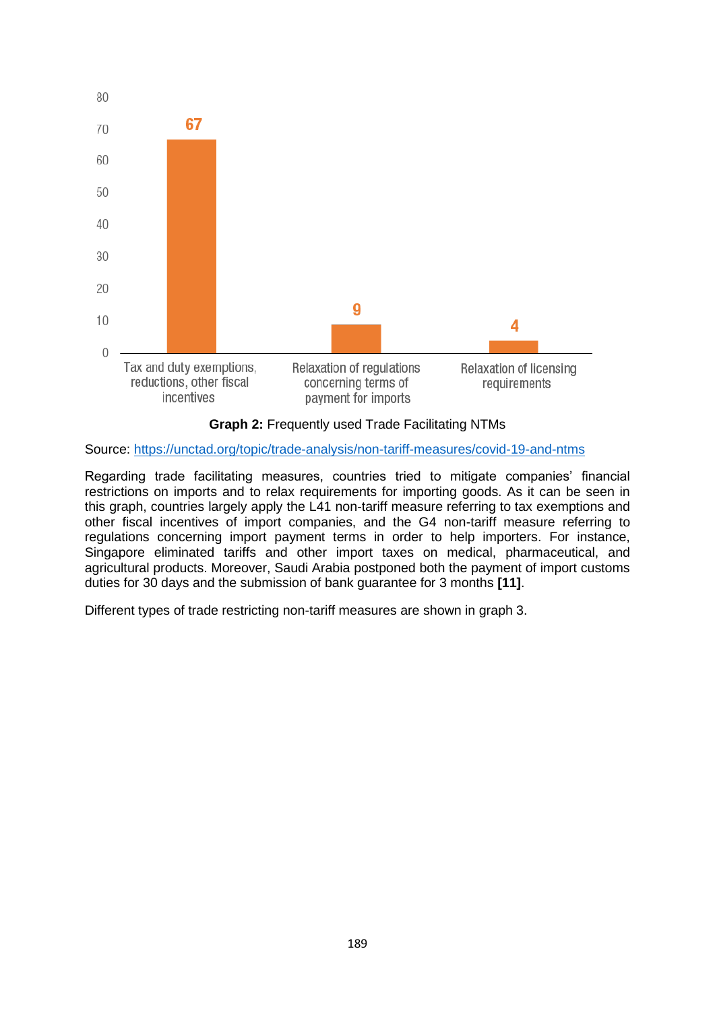

**Graph 2:** Frequently used Trade Facilitating NTMs

Source:<https://unctad.org/topic/trade-analysis/non-tariff-measures/covid-19-and-ntms>

Regarding trade facilitating measures, countries tried to mitigate companies' financial restrictions on imports and to relax requirements for importing goods. As it can be seen in this graph, countries largely apply the L41 non-tariff measure referring to tax exemptions and other fiscal incentives of import companies, and the G4 non-tariff measure referring to regulations concerning import payment terms in order to help importers. For instance, Singapore eliminated tariffs and other import taxes on medical, pharmaceutical, and agricultural products. Moreover, Saudi Arabia postponed both the payment of import customs duties for 30 days and the submission of bank guarantee for 3 months **[11]**.

Different types of trade restricting non-tariff measures are shown in graph 3.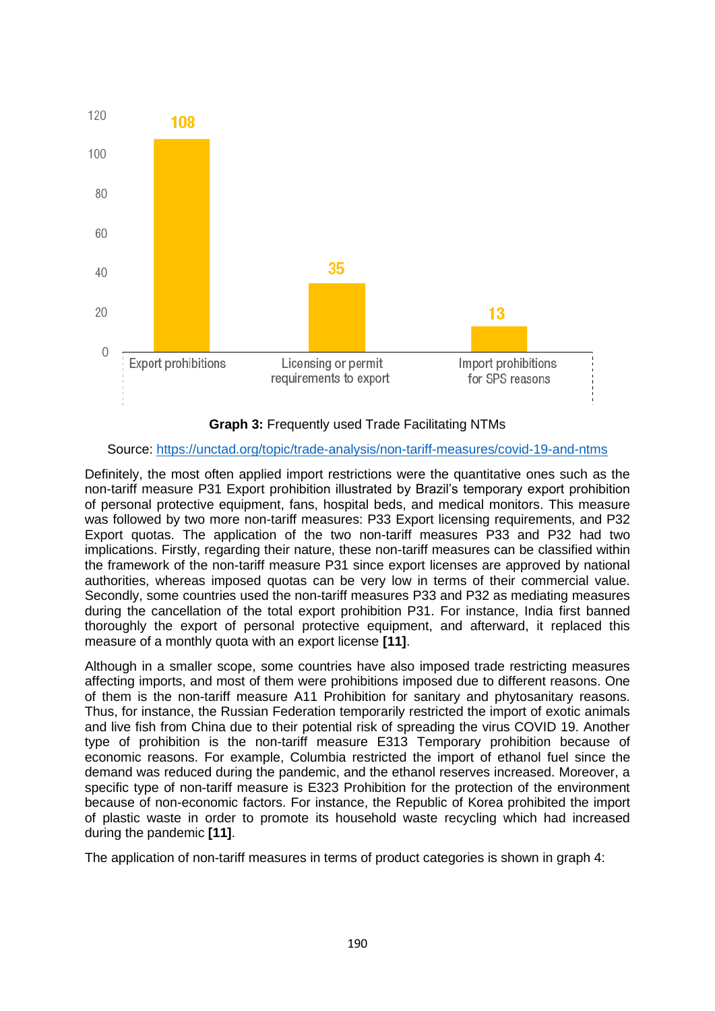

**Graph 3:** Frequently used Trade Facilitating NTMs

#### Source:<https://unctad.org/topic/trade-analysis/non-tariff-measures/covid-19-and-ntms>

Definitely, the most often applied import restrictions were the quantitative ones such as the non-tariff measure P31 Export prohibition illustrated by Brazil's temporary export prohibition of personal protective equipment, fans, hospital beds, and medical monitors. This measure was followed by two more non-tariff measures: P33 Export licensing requirements, and P32 Export quotas. The application of the two non-tariff measures P33 and P32 had two implications. Firstly, regarding their nature, these non-tariff measures can be classified within the framework of the non-tariff measure P31 since export licenses are approved by national authorities, whereas imposed quotas can be very low in terms of their commercial value. Secondly, some countries used the non-tariff measures P33 and P32 as mediating measures during the cancellation of the total export prohibition P31. For instance, India first banned thoroughly the export of personal protective equipment, and afterward, it replaced this measure of a monthly quota with an export license **[11]**.

Although in a smaller scope, some countries have also imposed trade restricting measures affecting imports, and most of them were prohibitions imposed due to different reasons. One of them is the non-tariff measure A11 Prohibition for sanitary and phytosanitary reasons. Thus, for instance, the Russian Federation temporarily restricted the import of exotic animals and live fish from China due to their potential risk of spreading the virus COVID 19. Another type of prohibition is the non-tariff measure E313 Temporary prohibition because of economic reasons. For example, Columbia restricted the import of ethanol fuel since the demand was reduced during the pandemic, and the ethanol reserves increased. Moreover, a specific type of non-tariff measure is E323 Prohibition for the protection of the environment because of non-economic factors. For instance, the Republic of Korea prohibited the import of plastic waste in order to promote its household waste recycling which had increased during the pandemic **[11]**.

The application of non-tariff measures in terms of product categories is shown in graph 4: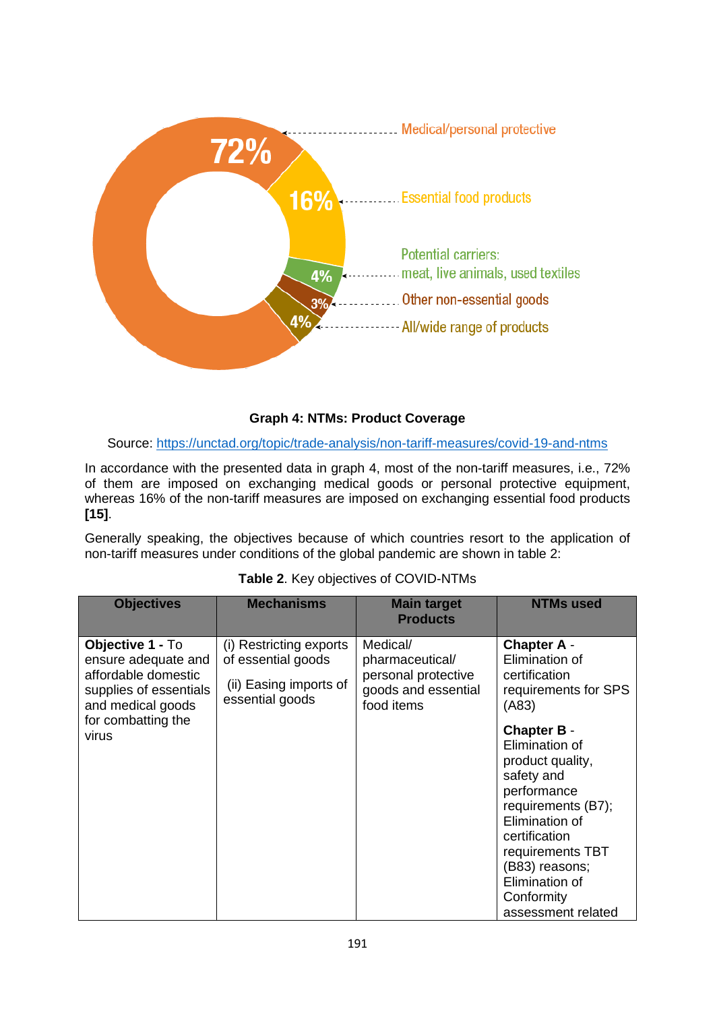

#### **Graph 4: NTMs: Product Coverage**

#### Source:<https://unctad.org/topic/trade-analysis/non-tariff-measures/covid-19-and-ntms>

In accordance with the presented data in graph 4, most of the non-tariff measures, i.e., 72% of them are imposed on exchanging medical goods or personal protective equipment, whereas 16% of the non-tariff measures are imposed on exchanging essential food products **[15]**.

Generally speaking, the objectives because of which countries resort to the application of non-tariff measures under conditions of the global pandemic are shown in table 2:

| <b>Objectives</b>                                                                                             | <b>Mechanisms</b>                                                                          | <b>Main target</b><br><b>Products</b>                                                   | <b>NTMs used</b>                                                                                                                                                                                                                           |
|---------------------------------------------------------------------------------------------------------------|--------------------------------------------------------------------------------------------|-----------------------------------------------------------------------------------------|--------------------------------------------------------------------------------------------------------------------------------------------------------------------------------------------------------------------------------------------|
| Objective 1 - To<br>ensure adequate and<br>affordable domestic<br>supplies of essentials<br>and medical goods | (i) Restricting exports<br>of essential goods<br>(ii) Easing imports of<br>essential goods | Medical/<br>pharmaceutical/<br>personal protective<br>goods and essential<br>food items | <b>Chapter A -</b><br>Elimination of<br>certification<br>requirements for SPS<br>(A83)                                                                                                                                                     |
| for combatting the<br>virus                                                                                   |                                                                                            |                                                                                         | <b>Chapter B -</b><br>Elimination of<br>product quality,<br>safety and<br>performance<br>requirements (B7);<br>Elimination of<br>certification<br>requirements TBT<br>(B83) reasons;<br>Elimination of<br>Conformity<br>assessment related |

#### **Table 2**. Key objectives of COVID-NTMs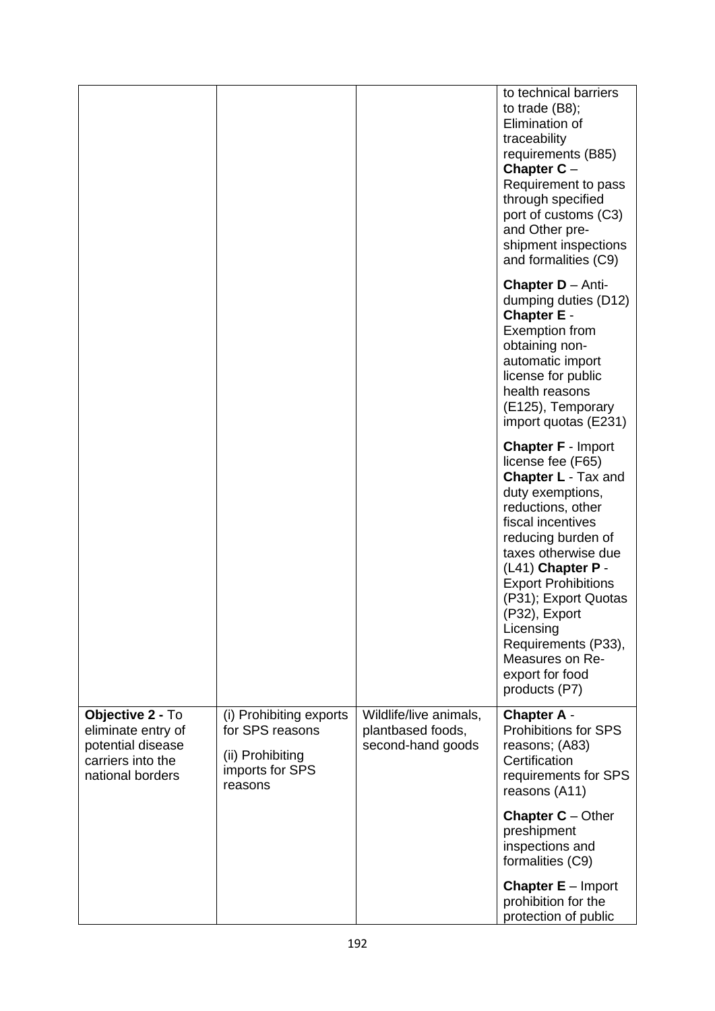|                                                                                                      |                                                                                              |                                                                  | to technical barriers<br>to trade $(B8)$ ;<br>Elimination of<br>traceability<br>requirements (B85)<br>Chapter $C -$<br>Requirement to pass<br>through specified<br>port of customs (C3)<br>and Other pre-<br>shipment inspections<br>and formalities (C9)                                                                                                                      |
|------------------------------------------------------------------------------------------------------|----------------------------------------------------------------------------------------------|------------------------------------------------------------------|--------------------------------------------------------------------------------------------------------------------------------------------------------------------------------------------------------------------------------------------------------------------------------------------------------------------------------------------------------------------------------|
|                                                                                                      |                                                                                              |                                                                  | Chapter D - Anti-<br>dumping duties (D12)<br><b>Chapter E -</b><br><b>Exemption from</b><br>obtaining non-<br>automatic import<br>license for public<br>health reasons<br>(E125), Temporary<br>import quotas (E231)                                                                                                                                                            |
|                                                                                                      |                                                                                              |                                                                  | <b>Chapter F - Import</b><br>license fee (F65)<br><b>Chapter L - Tax and</b><br>duty exemptions,<br>reductions, other<br>fiscal incentives<br>reducing burden of<br>taxes otherwise due<br>(L41) Chapter P -<br><b>Export Prohibitions</b><br>(P31); Export Quotas<br>(P32), Export<br>Licensing<br>Requirements (P33),<br>Measures on Re-<br>export for food<br>products (P7) |
| Objective 2 - To<br>eliminate entry of<br>potential disease<br>carriers into the<br>national borders | (i) Prohibiting exports<br>for SPS reasons<br>(ii) Prohibiting<br>imports for SPS<br>reasons | Wildlife/live animals,<br>plantbased foods,<br>second-hand goods | <b>Chapter A -</b><br>Prohibitions for SPS<br>reasons; (A83)<br>Certification<br>requirements for SPS<br>reasons (A11)                                                                                                                                                                                                                                                         |
|                                                                                                      |                                                                                              |                                                                  | <b>Chapter C</b> $-$ Other<br>preshipment<br>inspections and<br>formalities (C9)                                                                                                                                                                                                                                                                                               |
|                                                                                                      |                                                                                              |                                                                  | <b>Chapter <math>E -</math> Import</b><br>prohibition for the<br>protection of public                                                                                                                                                                                                                                                                                          |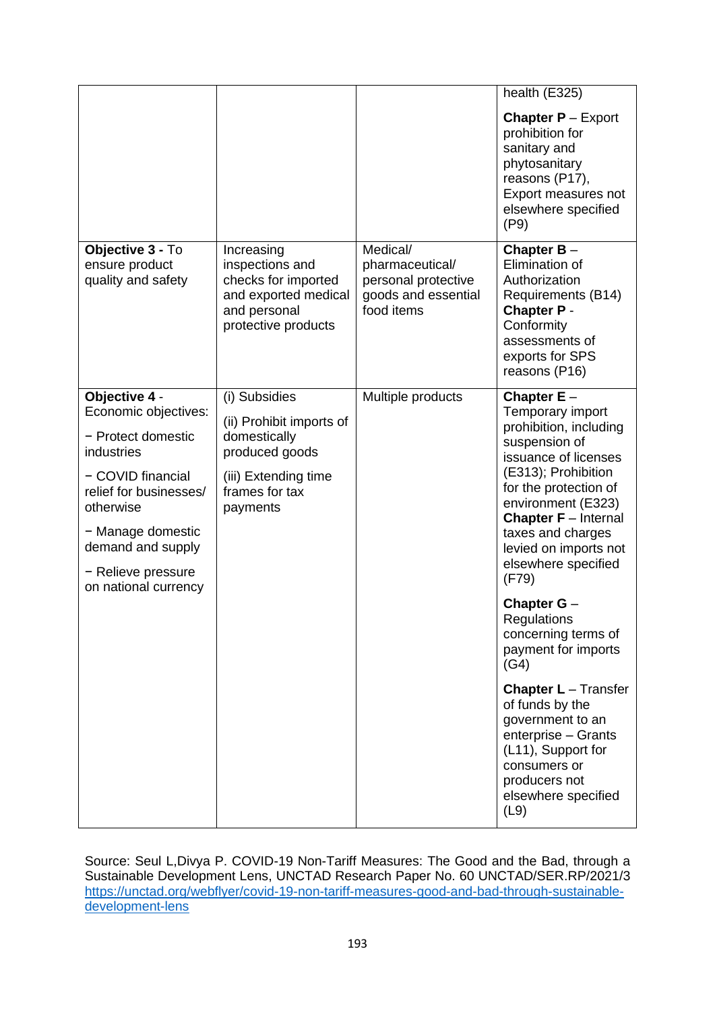|                                                                                                                                                                                                                               |                                                                                                                                   |                                                                                         | health (E325)                                                                                                                                                                                                                                                                                                         |
|-------------------------------------------------------------------------------------------------------------------------------------------------------------------------------------------------------------------------------|-----------------------------------------------------------------------------------------------------------------------------------|-----------------------------------------------------------------------------------------|-----------------------------------------------------------------------------------------------------------------------------------------------------------------------------------------------------------------------------------------------------------------------------------------------------------------------|
|                                                                                                                                                                                                                               |                                                                                                                                   |                                                                                         | <b>Chapter <math>P -</math> Export</b><br>prohibition for<br>sanitary and<br>phytosanitary<br>reasons (P17),<br>Export measures not<br>elsewhere specified<br>(P9)                                                                                                                                                    |
| Objective 3 - To<br>ensure product<br>quality and safety                                                                                                                                                                      | Increasing<br>inspections and<br>checks for imported<br>and exported medical<br>and personal<br>protective products               | Medical/<br>pharmaceutical/<br>personal protective<br>goods and essential<br>food items | Chapter $B -$<br>Elimination of<br>Authorization<br>Requirements (B14)<br><b>Chapter P -</b><br>Conformity<br>assessments of<br>exports for SPS<br>reasons (P16)                                                                                                                                                      |
| Objective 4 -<br>Economic objectives:<br>- Protect domestic<br>industries<br>- COVID financial<br>relief for businesses/<br>otherwise<br>- Manage domestic<br>demand and supply<br>- Relieve pressure<br>on national currency | (i) Subsidies<br>(ii) Prohibit imports of<br>domestically<br>produced goods<br>(iii) Extending time<br>frames for tax<br>payments | Multiple products                                                                       | Chapter $E -$<br>Temporary import<br>prohibition, including<br>suspension of<br>issuance of licenses<br>(E313); Prohibition<br>for the protection of<br>environment (E323)<br><b>Chapter F</b> - Internal<br>taxes and charges<br>levied on imports not<br>elsewhere specified<br>(F79)<br>Chapter G -<br>Regulations |
|                                                                                                                                                                                                                               |                                                                                                                                   |                                                                                         | concerning terms of<br>payment for imports<br>(G4)<br><b>Chapter L</b> - Transfer<br>of funds by the<br>government to an<br>enterprise - Grants<br>(L11), Support for<br>consumers or<br>producers not<br>elsewhere specified<br>(L9)                                                                                 |

Source: Seul L,Divya P. COVID-19 Non-Tariff Measures: The Good and the Bad, through a Sustainable Development Lens, UNCTAD Research Paper No. 60 UNCTAD/SER.RP/2021/3 [https://unctad.org/webflyer/covid-19-non-tariff-measures-good-and-bad-through-sustainable](https://unctad.org/webflyer/covid-19-non-tariff-measures-good-and-bad-through-sustainable-development-lens)[development-lens](https://unctad.org/webflyer/covid-19-non-tariff-measures-good-and-bad-through-sustainable-development-lens)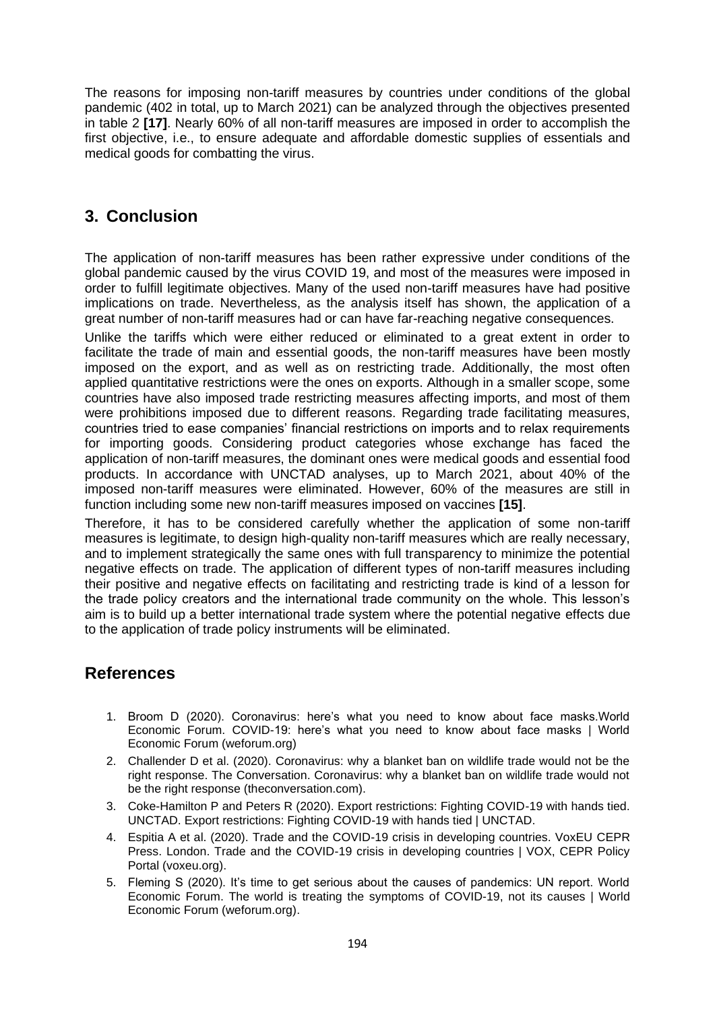The reasons for imposing non-tariff measures by countries under conditions of the global pandemic (402 in total, up to March 2021) can be analyzed through the objectives presented in table 2 **[17]**. Nearly 60% of all non-tariff measures are imposed in order to accomplish the first objective, i.e., to ensure adequate and affordable domestic supplies of essentials and medical goods for combatting the virus.

## **3. Conclusion**

The application of non-tariff measures has been rather expressive under conditions of the global pandemic caused by the virus COVID 19, and most of the measures were imposed in order to fulfill legitimate objectives. Many of the used non-tariff measures have had positive implications on trade. Nevertheless, as the analysis itself has shown, the application of a great number of non-tariff measures had or can have far-reaching negative consequences.

Unlike the tariffs which were either reduced or eliminated to a great extent in order to facilitate the trade of main and essential goods, the non-tariff measures have been mostly imposed on the export, and as well as on restricting trade. Additionally, the most often applied quantitative restrictions were the ones on exports. Although in a smaller scope, some countries have also imposed trade restricting measures affecting imports, and most of them were prohibitions imposed due to different reasons. Regarding trade facilitating measures, countries tried to ease companies' financial restrictions on imports and to relax requirements for importing goods. Considering product categories whose exchange has faced the application of non-tariff measures, the dominant ones were medical goods and essential food products. In accordance with UNCTAD analyses, up to March 2021, about 40% of the imposed non-tariff measures were eliminated. However, 60% of the measures are still in function including some new non-tariff measures imposed on vaccines **[15]**.

Therefore, it has to be considered carefully whether the application of some non-tariff measures is legitimate, to design high-quality non-tariff measures which are really necessary, and to implement strategically the same ones with full transparency to minimize the potential negative effects on trade. The application of different types of non-tariff measures including their positive and negative effects on facilitating and restricting trade is kind of a lesson for the trade policy creators and the international trade community on the whole. This lesson's aim is to build up a better international trade system where the potential negative effects due to the application of trade policy instruments will be eliminated.

## **References**

- 1. Broom D (2020). Coronavirus: here's what you need to know about face masks.World Economic Forum. COVID-19: here's what you need to know about face masks | World Economic Forum (weforum.org)
- 2. Challender D et al. (2020). Coronavirus: why a blanket ban on wildlife trade would not be the right response. The Conversation. Coronavirus: why a blanket ban on wildlife trade would not be the right response (theconversation.com).
- 3. Coke-Hamilton P and Peters R (2020). Export restrictions: Fighting COVID-19 with hands tied. UNCTAD. Export restrictions: Fighting COVID-19 with hands tied | UNCTAD.
- 4. Espitia A et al. (2020). Trade and the COVID-19 crisis in developing countries. VoxEU CEPR Press. London. Trade and the COVID-19 crisis in developing countries | VOX, CEPR Policy Portal (voxeu.org).
- 5. Fleming S (2020). It's time to get serious about the causes of pandemics: UN report. World Economic Forum. The world is treating the symptoms of COVID-19, not its causes | World Economic Forum (weforum.org).